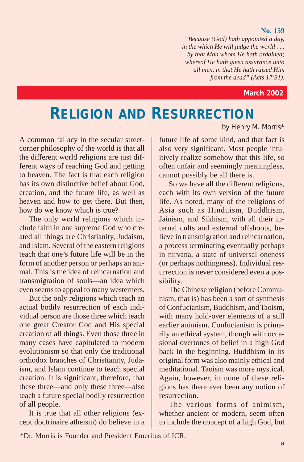## **No. 159**

*"Because (God) hath appointed a day, in the which He will judge the world . . . by that Man whom He hath ordained; whereof He hath given assurance unto all men, in that He hath raised Him from the dead" (Acts 17:31).*

 **March 2002**

by Henry M. Morris\*

## **RELIGION AND RESURRECTION**

A common fallacy in the secular streetcorner philosophy of the world is that all the different world religions are just different ways of reaching God and getting to heaven. The fact is that each religion has its own distinctive belief about God, creation, and the future life, as well as heaven and how to get there. But then, how do we know which is true?

The only world religions which include faith in one supreme God who created all things are Christianity, Judaism, and Islam. Several of the eastern religions teach that one's future life will be in the form of another person or perhaps an animal. This is the idea of reincarnation and transmigration of souls—an idea which even seems to appeal to many westerners.

But the only religions which teach an actual bodily resurrection of each individual person are those three which teach one great Creator God and His special creation of all things. Even those three in many cases have capitulated to modern evolutionism so that only the traditional orthodox branches of Christianity, Judaism, and Islam continue to teach special creation. It is significant, therefore, that these three—and only these three—also teach a future special bodily resurrection of all people.

It is true that all other religions (except doctrinaire atheism) do believe in a future life of some kind, and that fact is also very significant. Most people intuitively realize somehow that this life, so often unfair and seemingly meaningless, cannot possibly be all there is.

So we have all the different religions, each with its own version of the future life. As noted, many of the religions of Asia such as Hinduism, Buddhism, Jainism, and Sikhism, with all their internal cults and external offshoots, believe in transmigration and reincarnation, a process terminating eventually perhaps in nirvana, a state of universal oneness (or perhaps nothingness). Individual resurrection is never considered even a possibility.

The Chinese religion (before Communism, that is) has been a sort of synthesis of Confucianism, Buddhism, and Taoism, with many hold-over elements of a still earlier animism. Confucianism is primarily an ethical system, though with occasional overtones of belief in a high God back in the beginning. Buddhism in its original form was also mainly ethical and meditational. Taoism was more mystical. Again, however, in none of these religions has there ever been any notion of resurrection.

The various forms of animism, whether ancient or modern, seem often to include the concept of a high God, but

 <sup>\*</sup>Dr. Morris is Founder and President Emeritus of ICR.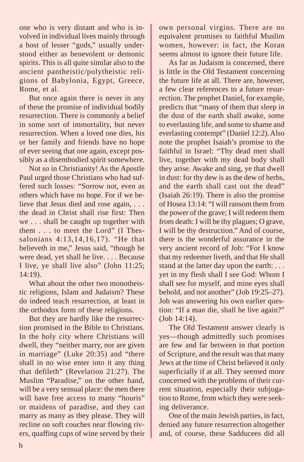one who is very distant and who is involved in individual lives mainly through a host of lesser "gods," usually understood either as benevolent or demonic spirits. This is all quite similar also to the ancient pantheistic/polytheistic religions of Babylonia, Egypt, Greece, Rome, et al.

But once again there is never in any of these the promise of individual bodily resurrection. There is commonly a belief in some sort of immortality, but never resurrection. When a loved one dies, his or her family and friends have no hope of ever seeing that one again, except possibly as a disembodied spirit somewhere.

Not so in Christianity! As the Apostle Paul urged those Christians who had suffered such losses: "Sorrow not, even as others which have no hope. For if we believe that Jesus died and rose again, . . . the dead in Christ shall rise first: Then we . . . shall be caught up together with them . . . to meet the Lord" (I Thessalonians 4:13,14,16,17). "He that believeth in me," Jesus said, "though he were dead, yet shall he live. . . . Because I live, ye shall live also" (John 11:25; 14:19).

What about the other two monotheistic religions, Islam and Judaism? These do indeed teach resurrection, at least in the orthodox form of these religions.

But they are hardly like the resurrection promised in the Bible to Christians. In the holy city where Christians will dwell, they "neither marry, nor are given in marriage" (Luke 20:35) and "there shall in no wise enter into it any thing that defileth" (Revelation 21:27). The Muslim "Paradise," on the other hand, will be a very sensual place: the men there will have free access to many "houris" or maidens of paradise, and they can marry as many as they please. They will recline on soft couches near flowing rivers, quaffing cups of wine served by their own personal virgins. There are no equivalent promises to faithful Muslim women, however: in fact, the Koran seems almost to ignore their future life.

As far as Judaism is concerned, there is little in the Old Testament concerning the future life at all. There are, however, a few clear references to a future resurrection. The prophet Daniel, for example, predicts that "many of them that sleep in the dust of the earth shall awake, some to everlasting life, and some to shame and everlasting contempt" (Daniel 12:2). Also note the prophet Isaiah's promise to the faithful in Israel: "Thy dead men shall live, together with my dead body shall they arise. Awake and sing, ye that dwell in dust: for thy dew is as the dew of herbs, and the earth shall cast out the dead" (Isaiah 26:19). There is also the promise of Hosea 13:14: "I will ransom them from the power of the grave; I will redeem them from death: I will be thy plagues; O grave, I will be thy destruction." And of course, there is the wonderful assurance in the very ancient record of Job: "For I know that my redeemer liveth, and that He shall stand at the latter day upon the earth: . . . yet in my flesh shall I see God: Whom I shall see for myself, and mine eyes shall behold, and not another" (Job 19:25–27). Job was answering his own earlier question: "If a man die, shall he live again?" (Job 14:14).

The Old Testament answer clearly is yes—though admittedly such promises are few and far between in that portion of Scripture, and the result was that many Jews at the time of Christ believed it only superficially if at all. They seemed more concerned with the problems of their current situation, especially their subjugation to Rome, from which they were seeking deliverance.

One of the main Jewish parties, in fact, denied any future resurrection altogether and, of course, these Sadducees did all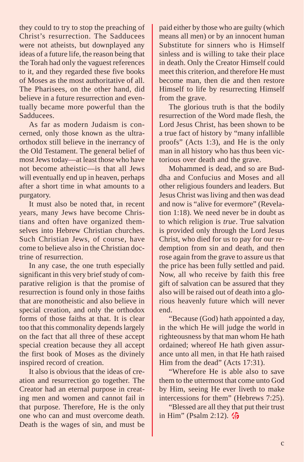they could to try to stop the preaching of Christ's resurrection. The Sadducees were not atheists, but downplayed any ideas of a future life, the reason being that the Torah had only the vaguest references to it, and they regarded these five books of Moses as the most authoritative of all. The Pharisees, on the other hand, did believe in a future resurrection and eventually became more powerful than the **Sadducees** 

As far as modern Judaism is concerned, only those known as the ultraorthodox still believe in the inerrancy of the Old Testament. The general belief of most Jews today—at least those who have not become atheistic—is that all Jews will eventually end up in heaven, perhaps after a short time in what amounts to a purgatory.

It must also be noted that, in recent years, many Jews have become Christians and often have organized themselves into Hebrew Christian churches. Such Christian Jews, of course, have come to believe also in the Christian doctrine of resurrection.

In any case, the one truth especially significant in this very brief study of comparative religion is that the promise of resurrection is found only in those faiths that are monotheistic and also believe in special creation, and only the orthodox forms of those faiths at that. It is clear too that this commonality depends largely on the fact that all three of these accept special creation because they all accept the first book of Moses as the divinely inspired record of creation.

It also is obvious that the ideas of creation and resurrection go together. The Creator had an eternal purpose in creating men and women and cannot fail in that purpose. Therefore, He is the only one who can and must overcome death. Death is the wages of sin, and must be

paid either by those who are guilty (which means all men) or by an innocent human Substitute for sinners who is Himself sinless and is willing to take their place in death. Only the Creator Himself could meet this criterion, and therefore He must become man, then die and then restore Himself to life by resurrecting Himself from the grave.

The glorious truth is that the bodily resurrection of the Word made flesh, the Lord Jesus Christ, has been shown to be a true fact of history by "many infallible proofs" (Acts 1:3), and He is the only man in all history who has thus been victorious over death and the grave.

Mohammed is dead, and so are Buddha and Confucius and Moses and all other religious founders and leaders. But Jesus Christ was living and then was dead and now is "alive for evermore" (Revelation 1:18). We need never be in doubt as to which religion is *true*. True salvation is provided only through the Lord Jesus Christ, who died for us to pay for our redemption from sin and death, and then rose again from the grave to assure us that the price has been fully settled and paid. Now, all who receive by faith this free gift of salvation can be assured that they also will be raised out of death into a glorious heavenly future which will never end.

"Because (God) hath appointed a day, in the which He will judge the world in righteousness by that man whom He hath ordained; whereof He hath given assurance unto all men, in that He hath raised Him from the dead" (Acts 17:31).

"Wherefore He is able also to save them to the uttermost that come unto God by Him, seeing He ever liveth to make intercessions for them" (Hebrews 7:25).

"Blessed are all they that put their trust in Him" (Psalm 2:12).